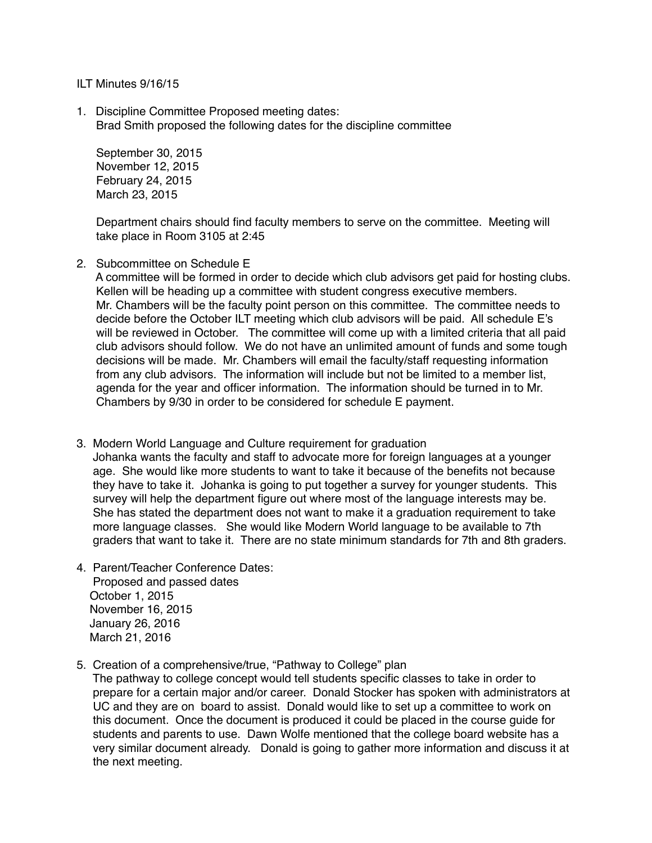ILT Minutes 9/16/15

1. Discipline Committee Proposed meeting dates: Brad Smith proposed the following dates for the discipline committee

 September 30, 2015 November 12, 2015 February 24, 2015 March 23, 2015

 Department chairs should find faculty members to serve on the committee. Meeting will take place in Room 3105 at 2:45

2. Subcommittee on Schedule E

 A committee will be formed in order to decide which club advisors get paid for hosting clubs. Kellen will be heading up a committee with student congress executive members. Mr. Chambers will be the faculty point person on this committee. The committee needs to decide before the October ILT meeting which club advisors will be paid. All schedule E's will be reviewed in October. The committee will come up with a limited criteria that all paid club advisors should follow. We do not have an unlimited amount of funds and some tough decisions will be made. Mr. Chambers will email the faculty/staff requesting information from any club advisors. The information will include but not be limited to a member list, agenda for the year and officer information. The information should be turned in to Mr. Chambers by 9/30 in order to be considered for schedule E payment.

- 3. Modern World Language and Culture requirement for graduation Johanka wants the faculty and staff to advocate more for foreign languages at a younger age. She would like more students to want to take it because of the benefits not because they have to take it. Johanka is going to put together a survey for younger students. This survey will help the department figure out where most of the language interests may be. She has stated the department does not want to make it a graduation requirement to take more language classes. She would like Modern World language to be available to 7th graders that want to take it. There are no state minimum standards for 7th and 8th graders.
- 4. Parent/Teacher Conference Dates: Proposed and passed dates October 1, 2015 November 16, 2015 January 26, 2016 March 21, 2016
- 5. Creation of a comprehensive/true, "Pathway to College" plan

 The pathway to college concept would tell students specific classes to take in order to prepare for a certain major and/or career. Donald Stocker has spoken with administrators at UC and they are on board to assist. Donald would like to set up a committee to work on this document. Once the document is produced it could be placed in the course guide for students and parents to use. Dawn Wolfe mentioned that the college board website has a very similar document already. Donald is going to gather more information and discuss it at the next meeting.